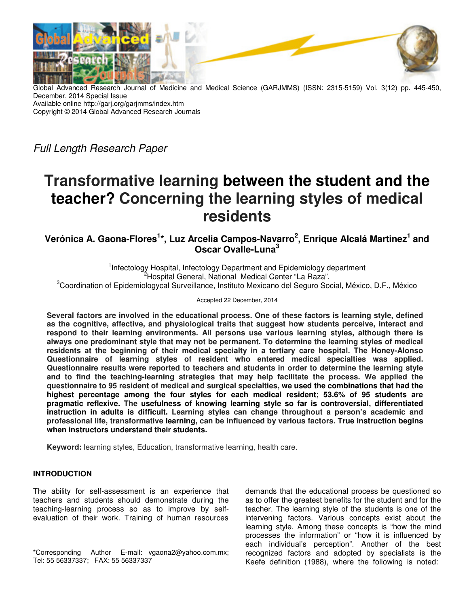

Global Advanced Research Journal of Medicine and Medical Science (GARJMMS) (ISSN: 2315-5159) Vol. 3(12) pp. 445-450, December, 2014 Special Issue Available online http://garj.org/garjmms/index.htm Copyright © 2014 Global Advanced Research Journals

Full Length Research Paper

# **Transformative learning between the student and the teacher? Concerning the learning styles of medical residents**

**Verónica A. Gaona-Flores<sup>1</sup> \*, Luz Arcelia Campos-Navarro<sup>2</sup> , Enrique Alcalá Martinez<sup>1</sup> and Oscar Ovalle-Luna<sup>3</sup>**

<sup>1</sup>Infectology Hospital, Infectology Department and Epidemiology department <sup>2</sup>Hospital General, National Medical Center "La Raza". <sup>3</sup>Coordination of Epidemiologycal Surveillance, Instituto Mexicano del Seguro Social, México, D.F., México

Accepted 22 December, 2014

**Several factors are involved in the educational process. One of these factors is learning style, defined as the cognitive, affective, and physiological traits that suggest how students perceive, interact and respond to their learning environments. All persons use various learning styles, although there is always one predominant style that may not be permanent. To determine the learning styles of medical residents at the beginning of their medical specialty in a tertiary care hospital. The Honey-Alonso Questionnaire of learning styles of resident who entered medical specialties was applied. Questionnaire results were reported to teachers and students in order to determine the learning style and to find the teaching-learning strategies that may help facilitate the process. We applied the questionnaire to 95 resident of medical and surgical specialties, we used the combinations that had the highest percentage among the four styles for each medical resident; 53.6% of 95 students are pragmatic reflexive. The usefulness of knowing learning style so far is controversial, differentiated instruction in adults is difficult. Learning styles can change throughout a person's academic and professional life, transformative learning, can be influenced by various factors. True instruction begins when instructors understand their students.** 

**Keyword:** learning styles, Education, transformative learning, health care.

## **INTRODUCTION**

The ability for self-assessment is an experience that teachers and students should demonstrate during the teaching-learning process so as to improve by selfevaluation of their work. Training of human resources

demands that the educational process be questioned so as to offer the greatest benefits for the student and for the teacher. The learning style of the students is one of the intervening factors. Various concepts exist about the learning style. Among these concepts is "how the mind processes the information" or "how it is influenced by each individual's perception". Another of the best recognized factors and adopted by specialists is the Keefe definition (1988), where the following is noted:

<sup>\*</sup>Corresponding Author E-mail: vgaona2@yahoo.com.mx; Tel: 55 56337337; FAX: 55 56337337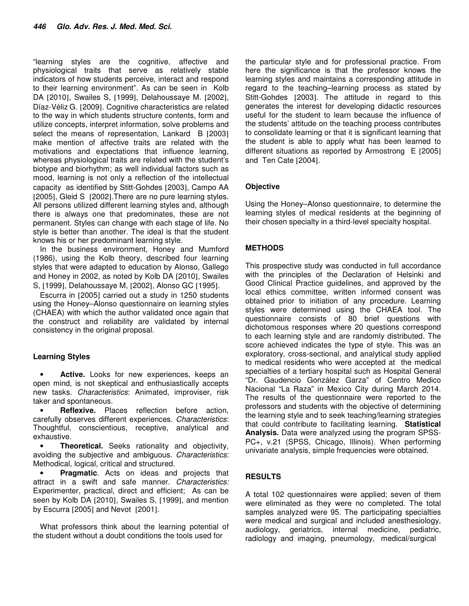"learning styles are the cognitive, affective and physiological traits that serve as relatively stable indicators of how students perceive, interact and respond to their learning environment". As can be seen in Kolb DA [2010], Swailes S, [1999], Delahoussaye M. [2002], Díaz-Véliz G. [2009]. Cognitive characteristics are related to the way in which students structure contents, form and utilize concepts, interpret information, solve problems and select the means of representation, Lankard B [2003] make mention of affective traits are related with the motivations and expectations that influence learning, whereas physiological traits are related with the student's biotype and biorhythm; as well individual factors such as mood, learning is not only a reflection of the intellectual capacity as identified by Stitt-Gohdes [2003], Campo AA [2005], Gleid S [2002]. There are no pure learning styles. All persons utilized different learning styles and, although there is always one that predominates, these are not permanent. Styles can change with each stage of life. No style is better than another. The ideal is that the student knows his or her predominant learning style.

In the business environment, Honey and Mumford (1986), using the Kolb theory, described four learning styles that were adapted to education by Alonso, Gallego and Honey in 2002, as noted by Kolb DA [2010], Swailes S, [1999], Delahoussaye M, [2002], Alonso GC [1995].

Escurra in [2005] carried out a study in 1250 students using the Honey–Alonso questionnaire on learning styles (CHAEA) with which the author validated once again that the construct and reliability are validated by internal consistency in the original proposal.

## **Learning Styles**

Active. Looks for new experiences, keeps an open mind, is not skeptical and enthusiastically accepts new tasks. Characteristics: Animated, improviser, risk taker and spontaneous.

**Reflexive.** Places reflection before action, carefully observes different experiences. Characteristics: Thoughtful, conscientious, receptive, analytical and exhaustive.

• **Theoretical.** Seeks rationality and objectivity, avoiding the subjective and ambiguous. Characteristics: Methodical, logical, critical and structured.

• **Pragmatic**. Acts on ideas and projects that attract in a swift and safe manner. Characteristics: Experimenter, practical, direct and efficient; As can be seen by Kolb DA [2010], Swailes S, [1999], and mention by Escurra [2005] and Nevot [2001].

What professors think about the learning potential of the student without a doubt conditions the tools used for

the particular style and for professional practice. From here the significance is that the professor knows the learning styles and maintains a corresponding attitude in regard to the teaching–learning process as stated by Stitt-Gohdes [2003]. The attitude in regard to this generates the interest for developing didactic resources useful for the student to learn because the influence of the students' attitude on the teaching process contributes to consolidate learning or that it is significant learning that the student is able to apply what has been learned to different situations as reported by Armostrong E [2005] and Ten Cate [2004].

## **Objective**

Using the Honey–Alonso questionnaire, to determine the learning styles of medical residents at the beginning of their chosen specialty in a third-level specialty hospital.

## **METHODS**

This prospective study was conducted in full accordance with the principles of the Declaration of Helsinki and Good Clinical Practice guidelines, and approved by the local ethics committee, written informed consent was obtained prior to initiation of any procedure. Learning styles were determined using the CHAEA tool. The questionnaire consists of 80 brief questions with dichotomous responses where 20 questions correspond to each learning style and are randomly distributed. The score achieved indicates the type of style. This was an exploratory, cross-sectional, and analytical study applied to medical residents who were accepted at the medical specialties of a tertiary hospital such as Hospital General "Dr. Gaudencio González Garza" of Centro Medico Nacional "La Raza" in Mexico City during March 2014. The results of the questionnaire were reported to the professors and students with the objective of determining the learning style and to seek teaching/learning strategies that could contribute to facilitating learning. **Statistical Analysis.** Data were analyzed using the program SPSS-PC+, v.21 (SPSS, Chicago, Illinois). When performing univariate analysis, simple frequencies were obtained.

## **RESULTS**

A total 102 questionnaires were applied; seven of them were eliminated as they were no completed. The total samples analyzed were 95. The participating specialties were medical and surgical and included anesthesiology, audiology, geriatrics, internal medicine, pediatric, radiology and imaging, pneumology, medical/surgical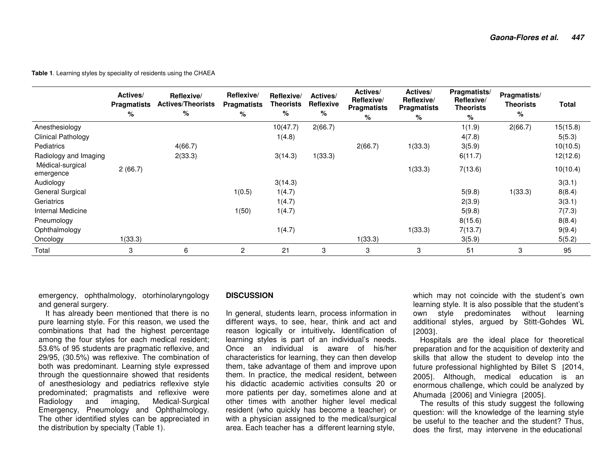**Table 1**. Learning styles by speciality of residents using the CHAEA

|                               | Actives/<br><b>Pragmatists</b><br>% | Reflexive/<br><b>Actives/Theorists</b><br>℅ | Reflexive/<br><b>Pragmatists</b><br>% | Reflexive/<br><b>Theorists</b><br>% | Actives/<br>Reflexive<br>% | Actives/<br>Reflexive/<br><b>Pragmatists</b><br>% | Actives/<br>Reflexive/<br><b>Pragmatists</b><br>% | Pragmatists/<br>Reflexive/<br><b>Theorists</b><br>% | Pragmatists/<br><b>Theorists</b><br>% | Total    |
|-------------------------------|-------------------------------------|---------------------------------------------|---------------------------------------|-------------------------------------|----------------------------|---------------------------------------------------|---------------------------------------------------|-----------------------------------------------------|---------------------------------------|----------|
| Anesthesiology                |                                     |                                             |                                       | 10(47.7)                            | 2(66.7)                    |                                                   |                                                   | 1(1.9)                                              | 2(66.7)                               | 15(15.8) |
| <b>Clinical Pathology</b>     |                                     |                                             |                                       | 1(4.8)                              |                            |                                                   |                                                   | 4(7.8)                                              |                                       | 5(5.3)   |
| <b>Pediatrics</b>             |                                     | 4(66.7)                                     |                                       |                                     |                            | 2(66.7)                                           | 1(33.3)                                           | 3(5.9)                                              |                                       | 10(10.5) |
| Radiology and Imaging         |                                     | 2(33.3)                                     |                                       | 3(14.3)                             | 1(33.3)                    |                                                   |                                                   | 6(11.7)                                             |                                       | 12(12.6) |
| Médical-surgical<br>emergence | 2(66.7)                             |                                             |                                       |                                     |                            |                                                   | 1(33.3)                                           | 7(13.6)                                             |                                       | 10(10.4) |
| Audiology                     |                                     |                                             |                                       | 3(14.3)                             |                            |                                                   |                                                   |                                                     |                                       | 3(3.1)   |
| General Surgical              |                                     |                                             | 1(0.5)                                | 1(4.7)                              |                            |                                                   |                                                   | 5(9.8)                                              | 1(33.3)                               | 8(8.4)   |
| Geriatrics                    |                                     |                                             |                                       | 1(4.7)                              |                            |                                                   |                                                   | 2(3.9)                                              |                                       | 3(3.1)   |
| Internal Medicine             |                                     |                                             | 1(50)                                 | 1(4.7)                              |                            |                                                   |                                                   | 5(9.8)                                              |                                       | 7(7.3)   |
| Pneumology                    |                                     |                                             |                                       |                                     |                            |                                                   |                                                   | 8(15.6)                                             |                                       | 8(8.4)   |
| Ophthalmology                 |                                     |                                             |                                       | 1(4.7)                              |                            |                                                   | 1(33.3)                                           | 7(13.7)                                             |                                       | 9(9.4)   |
| Oncology                      | 1(33.3)                             |                                             |                                       |                                     |                            | 1(33.3)                                           |                                                   | 3(5.9)                                              |                                       | 5(5.2)   |
| Total                         | 3                                   | 6                                           | $\overline{2}$                        | 21                                  | 3                          | 3                                                 | 3                                                 | 51                                                  | 3                                     | 95       |

emergency, ophthalmology, otorhinolaryngology and general surgery.

 It has already been mentioned that there is no pure learning style. For this reason, we used the combinations that had the highest percentage among the four styles for each medical resident; 53.6% of 95 students are pragmatic reflexive, and 29/95, (30.5%) was reflexive. The combination of both was predominant. Learning style expressed through the questionnaire showed that residents of anesthesiology and pediatrics reflexive style predominated; pragmatists and reflexive were Radiology and imaging, Medical-Surgical Emergency, Pneumology and Ophthalmology. The other identified styles can be appreciated in the distribution by specialty (Table 1).

#### **DISCUSSION**

In general, students learn, process information in different ways, to see, hear, think and act and reason logically or intuitively**.** Identification of learning styles is part of an individual's needs. Once an individual is aware of his/her characteristics for learning, they can then develop them, take advantage of them and improve upon them. In practice, the medical resident, between his didactic academic activities consults 20 or more patients per day, sometimes alone and at other times with another higher level medical resident (who quickly has become a teacher) or with a physician assigned to the medical/surgical area. Each teacher has a different learning style,

which may not coincide with the student's own learning style. It is also possible that the student's own style predominates without learning additional styles, argued by Stitt-Gohdes WL [2003].

 Hospitals are the ideal place for theoretical preparation and for the acquisition of dexterity and skills that allow the student to develop into the future professional highlighted by Billet S [2014, 2005]. Although, medical education is an enormous challenge, which could be analyzed by Ahumada [2006] and Viniegra [2005].

 The results of this study suggest the following question: will the knowledge of the learning style be useful to the teacher and the student? Thus, does the first, may intervene in the educational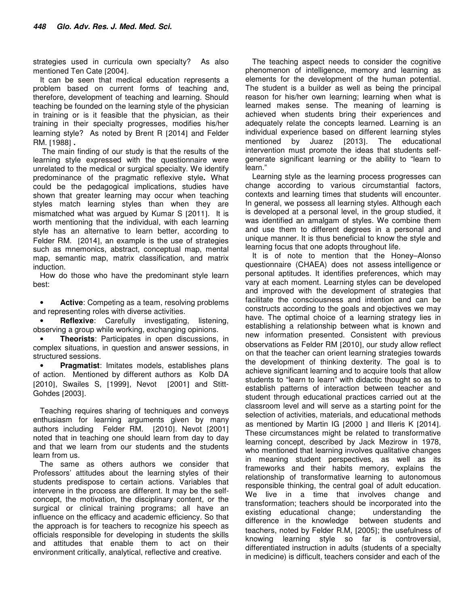strategies used in curricula own specialty? As also mentioned Ten Cate [2004].

It can be seen that medical education represents a problem based on current forms of teaching and, therefore, development of teaching and learning. Should teaching be founded on the learning style of the physician in training or is it feasible that the physician, as their training in their specialty progresses, modifies his/her learning style? As noted by Brent R [2014] and Felder RM. [1988] **.**

 The main finding of our study is that the results of the learning style expressed with the questionnaire were unrelated to the medical or surgical specialty. We identify predominance of the pragmatic reflexive style**.** What could be the pedagogical implications, studies have shown that greater learning may occur when teaching styles match learning styles than when they are mismatched what was argued by Kumar S [2011].It is worth mentioning that the individual, with each learning style has an alternative to learn better, according to Felder RM. [2014], an example is the use of strategies such as mnemonics, abstract, conceptual map, mental map, semantic map, matrix classification, and matrix induction.

How do those who have the predominant style learn best:

• **Active**: Competing as a team, resolving problems and representing roles with diverse activities.

**Reflexive:** Carefully investigating, listening, observing a group while working, exchanging opinions.

• **Theorists**: Participates in open discussions, in complex situations, in question and answer sessions, in structured sessions.

**Pragmatist:** Imitates models, establishes plans of action. Mentioned by different authors as Kolb DA [2010], Swailes S, [1999], Nevot [2001] and Stitt-Gohdes [2003].

Teaching requires sharing of techniques and conveys enthusiasm for learning arguments given by many authors including Felder RM. [2010]. Nevot [2001] noted that in teaching one should learn from day to day and that we learn from our students and the students learn from us.

The same as others authors we consider that Professors' attitudes about the learning styles of their students predispose to certain actions. Variables that intervene in the process are different. It may be the selfconcept, the motivation, the disciplinary content, or the surgical or clinical training programs; all have an influence on the efficacy and academic efficiency. So that the approach is for teachers to recognize his speech as officials responsible for developing in students the skills and attitudes that enable them to act on their environment critically, analytical, reflective and creative.

The teaching aspect needs to consider the cognitive phenomenon of intelligence, memory and learning as elements for the development of the human potential. The student is a builder as well as being the principal reason for his/her own learning; learning when what is learned makes sense. The meaning of learning is achieved when students bring their experiences and adequately relate the concepts learned. Learning is an individual experience based on different learning styles mentioned by Juarez [2013]. The educational intervention must promote the ideas that students selfgenerate significant learning or the ability to "learn to learn."

Learning style as the learning process progresses can change according to various circumstantial factors, contexts and learning times that students will encounter. In general, we possess all learning styles. Although each is developed at a personal level, in the group studied, it was identified an amalgam of styles. We combine them and use them to different degrees in a personal and unique manner. It is thus beneficial to know the style and learning focus that one adopts throughout life.

It is of note to mention that the Honey–Alonso questionnaire (CHAEA) does not assess intelligence or personal aptitudes. It identifies preferences, which may vary at each moment. Learning styles can be developed and improved with the development of strategies that facilitate the consciousness and intention and can be constructs according to the goals and objectives we may have. The optimal choice of a learning strategy lies in establishing a relationship between what is known and new information presented. Consistent with previous observations as Felder RM [2010], our study allow reflect on that the teacher can orient learning strategies towards the development of thinking dexterity. The goal is to achieve significant learning and to acquire tools that allow students to "learn to learn" with didactic thought so as to establish patterns of interaction between teacher and student through educational practices carried out at the classroom level and will serve as a starting point for the selection of activities, materials, and educational methods as mentioned by Martin IG [2000 ] and Illeris K [2014]. These circumstances might be related to transformative learning concept, described by Jack Mezirow in 1978, who mentioned that learning involves qualitative changes in meaning student perspectives, as well as its frameworks and their habits memory, explains the relationship of transformative learning to autonomous responsible thinking, the central goal of adult education. We live in a time that involves change and transformation; teachers should be incorporated into the existing educational change; understanding the difference in the knowledge between students and teachers, noted by Felder R.M, [2005]; the usefulness of knowing learning style so far is controversial, differentiated instruction in adults (students of a specialty in medicine) is difficult, teachers consider and each of the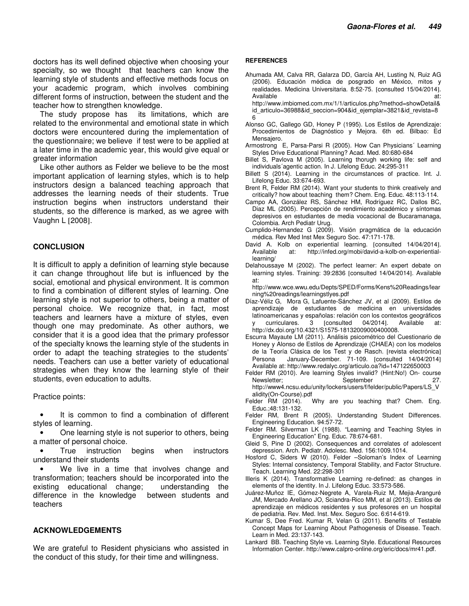doctors has its well defined objective when choosing your specialty, so we thought that teachers can know the learning style of students and effective methods focus on your academic program, which involves combining different forms of instruction, between the student and the teacher how to strengthen knowledge.

The study propose has its limitations, which are related to the environmental and emotional state in which doctors were encountered during the implementation of the questionnaire; we believe if test were to be applied at a later time in the academic year, this would give equal or greater information

Like other authors as Felder we believe to be the most important application of learning styles, which is to help instructors design a balanced teaching approach that addresses the learning needs of their students. True instruction begins when instructors understand their students, so the difference is marked, as we agree with Vaughn L [2008].

#### **CONCLUSION**

It is difficult to apply a definition of learning style because it can change throughout life but is influenced by the social, emotional and physical environment. It is common to find a combination of different styles of learning. One learning style is not superior to others, being a matter of personal choice. We recognize that, in fact, most teachers and learners have a mixture of styles, even though one may predominate. As other authors, we consider that it is a good idea that the primary professor of the specialty knows the learning style of the students in order to adapt the teaching strategies to the students' needs. Teachers can use a better variety of educational strategies when they know the learning style of their students, even education to adults.

Practice points:

It is common to find a combination of different styles of learning.

• One learning style is not superior to others, being a matter of personal choice.

True instruction begins when instructors understand their students

We live in a time that involves change and transformation; teachers should be incorporated into the existing educational change; understanding the difference in the knowledge between students and teachers

#### **ACKNOWLEDGEMENTS**

We are grateful to Resident physicians who assisted in the conduct of this study, for their time and willingness.

#### **REFERENCES**

Ahumada AM, Calva RR, Galarza DD, García AH, Lusting N, Ruiz AG (2006). Educación médica de posgrado en México, mitos y realidades. Medicina Universitaria. 8:52-75. [consulted 15/04/2014]. Available at:

http://www.imbiomed.com.mx/1/1/articulos.php?method=showDetail& id\_articulo=36988&id\_seccion=904&id\_ejemplar=3821&id\_revista=8 6

- Alonso GC, Gallego GD, Honey P (1995). Los Estilos de Aprendizaje: Procedimientos de Diagnóstico y Mejora. 6th ed. Bilbao: Ed Mensajero.
- Armostrong E, Parsa-Parsi R (2005). How Can Physicians´ Learning Styles Drive Educational Planning? Acad. Med. 80:680-684
- Billet S, Pavlova M (2005). Learning thorugh working life: self and individuals´agentic action. In J. Lifelong Educ. 24:295-311
- Billett S (2014). Learning in the circumstances of practice. Int. J. Lifelong Educ. 33:674-693.
- Brent R, Felder RM (2014). Want your students to think creatively and critically? how about teaching them? Chem. Eng. Educ. 48:113-114.
- Campo AA, González RS, Sánchez HM, Rodríguez RC, Dallos BC, Diaz ML (2005). Percepción de rendimiento académico y síntomas depresivos en estudiantes de media vocacional de Bucaramanaga, Colombia. Arch Pediatr Urug.
- Cumplido-Hernandez G (2009). Visión pragmática de la educación médica. Rev Med Inst Mex Seguro Soc. 47:171-178.
- David A. Kolb on experiential learning. [consulted 14/04/2014]. Available at: http://infed.org/mobi/david-a-kolb-on-experientiallearning/
- Delahoussaye M (2002). The perfect learner: An expert debate on learning styles. Training: 39:2836 [consulted 14/04/2014]. Available at:

http://www.wce.wwu.edu/Depts/SPED/Forms/Kens%20Readings/lear ning%20readings/learningstlyes.pdf

- Díaz-Véliz G, Mora G, Lafuente-Sánchez JV, et al (2009). Estilos de aprendizaje de estudiantes de medicina en universidades latinoamericanas y españolas: relación con los contextos geográficos curriculares. 3 [consulted 04/2014]. Available at: http://dx.doi.org/10.4321/S1575-18132009000400008.
- Escurra Mayaute LM (2011). Análisis psicométrico del Cuestionario de Honey y Alonso de Estilos de Aprendizaje (CHAEA) con los modelos de la Teoría Clásica de los Test y de Rasch. [revista electrónica] Persona January-December. 71-109. [consulted 14/04/2014] Available at: http://www.redalyc.org/articulo.oa?id=147122650003
- Felder RM (2010). Are learning Styles invalid? (Hint:No!) On- course Newsletter: September 27. http://www4.ncsu.edu/unity/lockers/users/f/felder/public/Papers/LS\_V
- alidity(On-Course).pdf<br>Felder RM (2014). Why are you teaching that? Chem. Eng. Educ.;48:131-132.
- Felder RM, Brent R (2005). Understanding Student Differences. Engineering Education. 94:57-72.
- Felder RM. Silverman LK (1988). "Learning and Teaching Styles in Engineering Education" Eng. Educ. 78:674-681.
- Gleid S, Pine D (2002). Consequences and correlates of adolescent depression. Arch. Pediatr. Adolesc. Med. 156:1009.1014.
- Hosford C, Siders W (2010). Felder –Soloman's Index of Learning Styles: Internal consistency, Temporal Stability, and Factor Structure. Teach. Learning Med. 22:298-301
- Illeris K (2014). Transformative Learning re-defined: as changes in elements of the identity. In J. Lifelong Educ. 33:573-586.
- Juárez-Muñoz IE, Gómez-Negrete A, Varela-Ruiz M, Mejia-Aranguré JM, Mercado Arellano JO, Sciandra-Rico MM, et al (2013). Estilos de aprendizaje en médicos residentes y sus profesores en un hospital de pediatria. Rev. Med. Inst. Mex. Seguro Soc. 6:614-619.
- Kumar S, Dee Fred. Kumar R, Velan G (2011). Benefits of Testable Concept Maps for Learning About Pathogenesis of Disease. Teach. Learn in Med. 23:137-143.
- Lankard BB. Teaching Style vs. Learning Style. Educational Resources Information Center. http://www.calpro-online.org/eric/docs/mr41.pdf.